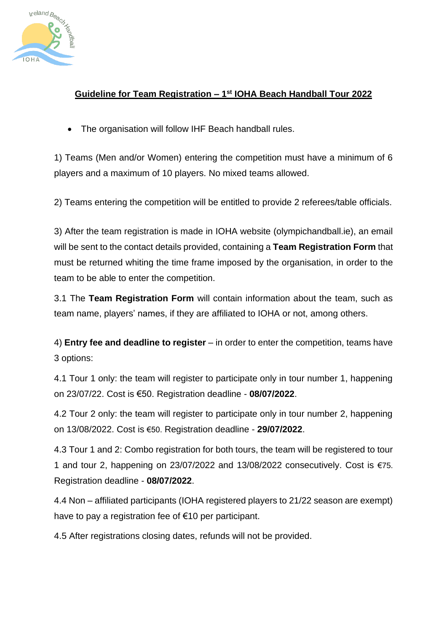

## **Guideline for Team Registration – 1 st IOHA Beach Handball Tour 2022**

• The organisation will follow IHF Beach handball rules.

1) Teams (Men and/or Women) entering the competition must have a minimum of 6 players and a maximum of 10 players. No mixed teams allowed.

2) Teams entering the competition will be entitled to provide 2 referees/table officials.

3) After the team registration is made in IOHA website (olympichandball.ie), an email will be sent to the contact details provided, containing a **Team Registration Form** that must be returned whiting the time frame imposed by the organisation, in order to the team to be able to enter the competition.

3.1 The **Team Registration Form** will contain information about the team, such as team name, players' names, if they are affiliated to IOHA or not, among others.

4) **Entry fee and deadline to register** – in order to enter the competition, teams have 3 options:

4.1 Tour 1 only: the team will register to participate only in tour number 1, happening on 23/07/22. Cost is €50. Registration deadline - **08/07/2022**.

4.2 Tour 2 only: the team will register to participate only in tour number 2, happening on 13/08/2022. Cost is €50. Registration deadline - **29/07/2022**.

4.3 Tour 1 and 2: Combo registration for both tours, the team will be registered to tour 1 and tour 2, happening on 23/07/2022 and 13/08/2022 consecutively. Cost is €75. Registration deadline - **08/07/2022**.

4.4 Non – affiliated participants (IOHA registered players to 21/22 season are exempt) have to pay a registration fee of €10 per participant.

4.5 After registrations closing dates, refunds will not be provided.